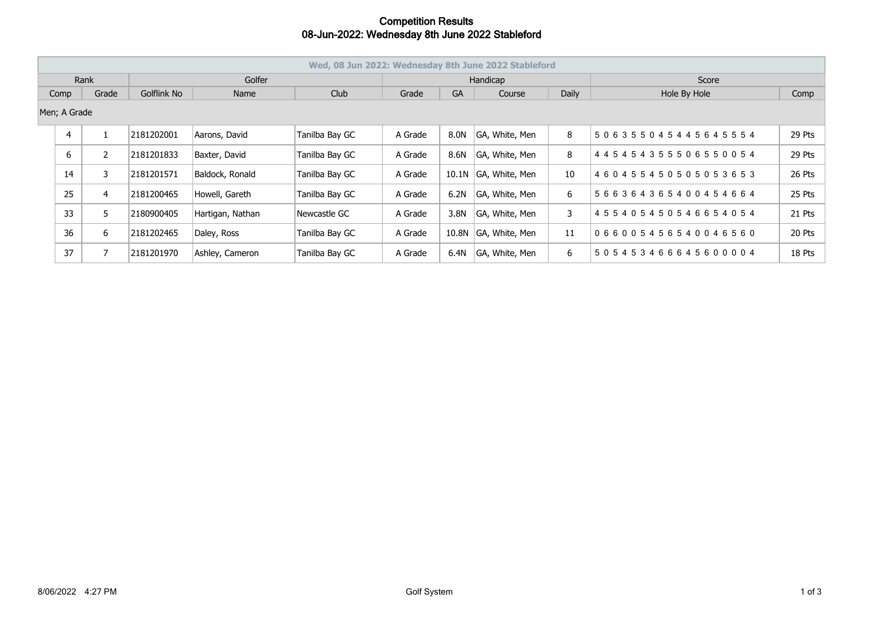## **Competition Results 08-Jun-2022: Wednesday 8th June 2022 Stableford**

| Wed, 08 Jun 2022: Wednesday 8th June 2022 Stableford |              |                |            |                  |                |           |        |                |              |                                     |        |
|------------------------------------------------------|--------------|----------------|------------|------------------|----------------|-----------|--------|----------------|--------------|-------------------------------------|--------|
| Rank                                                 |              |                | Golfer     |                  |                | Handicap  |        |                |              | Score                               |        |
| Grade<br>Comp                                        |              | Golflink No    | Name       | Club             | Grade          | <b>GA</b> | Course | <b>Daily</b>   | Hole By Hole | Comp                                |        |
|                                                      | Men; A Grade |                |            |                  |                |           |        |                |              |                                     |        |
|                                                      | 4            |                | 2181202001 | Aarons, David    | Tanilba Bay GC | A Grade   | 8.0N   | GA, White, Men | 8            | 506355045445645554                  | 29 Pts |
|                                                      | 6            | $\overline{2}$ | 2181201833 | Baxter, David    | Tanilba Bay GC | A Grade   | 8.6N   | GA, White, Men | 8            | 4 4 5 4 5 4 3 5 5 5 0 6 5 5 0 0 5 4 | 29 Pts |
|                                                      | 14           | 3              | 2181201571 | Baldock, Ronald  | Tanilba Bay GC | A Grade   | 10.1N  | GA, White, Men | 10           | 460455450505053653                  | 26 Pts |
|                                                      | 25           | $\overline{4}$ | 2181200465 | Howell, Gareth   | Tanilba Bay GC | A Grade   | 6.2N   | GA, White, Men | 6            | 566364365400454664                  | 25 Pts |
|                                                      | 33           | 5              | 2180900405 | Hartigan, Nathan | Newcastle GC   | A Grade   | 3.8N   | GA, White, Men | 3            | 455405450546654054                  | 21 Pts |
|                                                      | 36           | 6              | 2181202465 | Daley, Ross      | Tanilba Bay GC | A Grade   | 10.8N  | GA, White, Men | 11           | 066005456540046560                  | 20 Pts |
|                                                      | 37           | 7              | 2181201970 | Ashley, Cameron  | Tanilba Bay GC | A Grade   | 6.4N   | GA, White, Men | 6            | 505453466645600004                  | 18 Pts |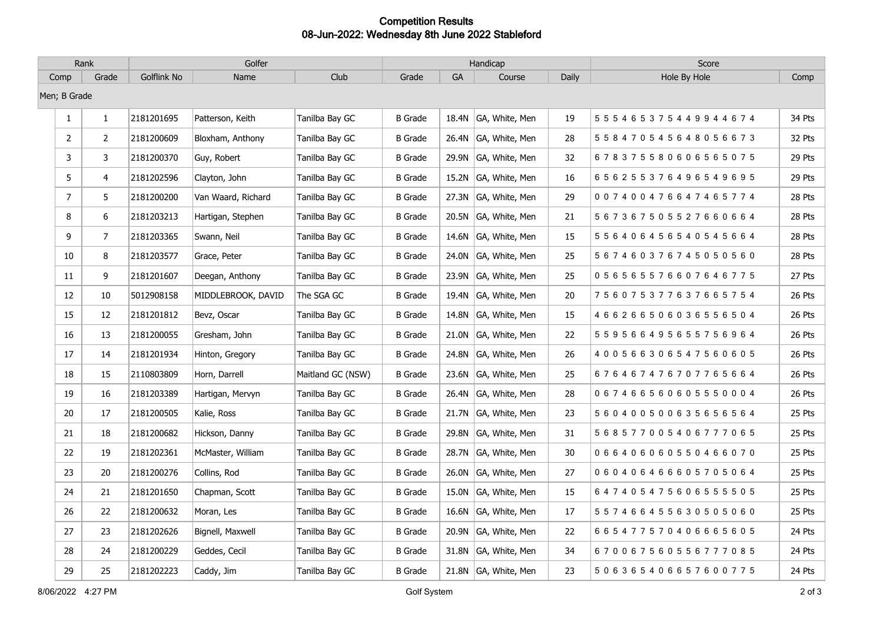## **Competition Results 08-Jun-2022: Wednesday 8th June 2022 Stableford**

| Rank           |                | Golfer      |                    |                   | Handicap       |           |                      |       | Score                               |        |
|----------------|----------------|-------------|--------------------|-------------------|----------------|-----------|----------------------|-------|-------------------------------------|--------|
| Comp           | Grade          | Golflink No | Name               | Club              | Grade          | <b>GA</b> | Course               | Daily | Hole By Hole                        | Comp   |
| Men; B Grade   |                |             |                    |                   |                |           |                      |       |                                     |        |
| $\mathbf{1}$   | $\mathbf{1}$   | 2181201695  | Patterson, Keith   | Tanilba Bay GC    | <b>B</b> Grade | 18.4N     | GA, White, Men       | 19    | 5 5 5 4 6 5 3 7 5 4 4 9 9 4 4 6 7 4 | 34 Pts |
| $\overline{2}$ | $\overline{2}$ | 2181200609  | Bloxham, Anthony   | Tanilba Bay GC    | <b>B</b> Grade |           | 26.4N GA, White, Men | 28    | 558470545648056673                  | 32 Pts |
| 3              | 3              | 2181200370  | Guy, Robert        | Tanilba Bay GC    | <b>B</b> Grade |           | 29.9N GA, White, Men | 32    | 678375580606565075                  | 29 Pts |
| 5              | 4              | 2181202596  | Clayton, John      | Tanilba Bay GC    | <b>B</b> Grade |           | 15.2N GA, White, Men | 16    | 656255376496549695                  | 29 Pts |
| $\overline{7}$ | 5              | 2181200200  | Van Waard, Richard | Tanilba Bay GC    | <b>B</b> Grade |           | 27.3N GA, White, Men | 29    | 007400476647465774                  | 28 Pts |
| 8              | 6              | 2181203213  | Hartigan, Stephen  | Tanilba Bay GC    | <b>B</b> Grade |           | 20.5N GA, White, Men | 21    | 567367505527660664                  | 28 Pts |
| 9              | $\overline{7}$ | 2181203365  | Swann, Neil        | Tanilba Bay GC    | <b>B</b> Grade |           | 14.6N GA, White, Men | 15    | 556406456540545664                  | 28 Pts |
| 10             | 8              | 2181203577  | Grace, Peter       | Tanilba Bay GC    | <b>B</b> Grade |           | 24.0N GA, White, Men | 25    | 567460376745050560                  | 28 Pts |
| 11             | 9              | 2181201607  | Deegan, Anthony    | Tanilba Bay GC    | <b>B</b> Grade |           | 23.9N GA, White, Men | 25    | 056565576607646775                  | 27 Pts |
| 12             | 10             | 5012908158  | MIDDLEBROOK, DAVID | The SGA GC        | <b>B</b> Grade |           | 19.4N GA, White, Men | 20    | 756075377637665754                  | 26 Pts |
| 15             | 12             | 2181201812  | Bevz, Oscar        | Tanilba Bay GC    | <b>B</b> Grade |           | 14.8N GA, White, Men | 15    | 466266506036556504                  | 26 Pts |
| 16             | 13             | 2181200055  | Gresham, John      | Tanilba Bay GC    | <b>B</b> Grade |           | 21.0N GA, White, Men | 22    | 559566495655756964                  | 26 Pts |
| 17             | 14             | 2181201934  | Hinton, Gregory    | Tanilba Bay GC    | <b>B</b> Grade |           | 24.8N GA, White, Men | 26    | 400566306547560605                  | 26 Pts |
| 18             | 15             | 2110803809  | Horn, Darrell      | Maitland GC (NSW) | <b>B</b> Grade |           | 23.6N GA, White, Men | 25    | 676467476707765664                  | 26 Pts |
| 19             | 16             | 2181203389  | Hartigan, Mervyn   | Tanilba Bay GC    | <b>B</b> Grade |           | 26.4N GA, White, Men | 28    | 067466560605550004                  | 26 Pts |
| 20             | 17             | 2181200505  | Kalie, Ross        | Tanilba Bay GC    | <b>B</b> Grade |           | 21.7N GA, White, Men | 23    | 560400500635656564                  | 25 Pts |
| 21             | 18             | 2181200682  | Hickson, Danny     | Tanilba Bay GC    | <b>B</b> Grade |           | 29.8N GA, White, Men | 31    | 568577005406777065                  | 25 Pts |
| 22             | 19             | 2181202361  | McMaster, William  | Tanilba Bay GC    | <b>B</b> Grade |           | 28.7N GA, White, Men | 30    | 066406060550466070                  | 25 Pts |
| 23             | 20             | 2181200276  | Collins, Rod       | Tanilba Bay GC    | <b>B</b> Grade |           | 26.0N GA, White, Men | 27    | 060406466605705064                  | 25 Pts |
| 24             | 21             | 2181201650  | Chapman, Scott     | Tanilba Bay GC    | <b>B</b> Grade |           | 15.0N GA, White, Men | 15    | 647405475606555505                  | 25 Pts |
| 26             | 22             | 2181200632  | Moran, Les         | Tanilba Bay GC    | <b>B</b> Grade |           | 16.6N GA, White, Men | 17    | 557466455630505060                  | 25 Pts |
| 27             | 23             | 2181202626  | Bignell, Maxwell   | Tanilba Bay GC    | <b>B</b> Grade |           | 20.9N GA, White, Men | 22    | 665477570406665605                  | 24 Pts |
| 28             | 24             | 2181200229  | Geddes, Cecil      | Tanilba Bay GC    | <b>B</b> Grade |           | 31.8N GA, White, Men | 34    | 670067560556777085                  | 24 Pts |
| 29             | 25             | 2181202223  | Caddy, Jim         | Tanilba Bay GC    | <b>B</b> Grade |           | 21.8N GA, White, Men | 23    | 506365406657600775                  | 24 Pts |